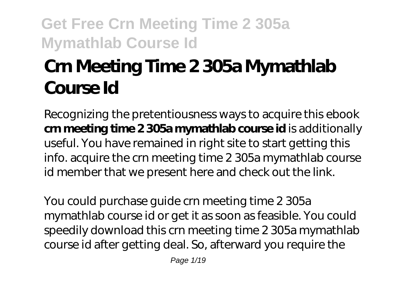# **Crn Meeting Time 2 305a Mymathlab Course Id**

Recognizing the pretentiousness ways to acquire this ebook **crn meeting time 2 305a mymathlab course id** is additionally useful. You have remained in right site to start getting this info. acquire the crn meeting time 2 305a mymathlab course id member that we present here and check out the link.

You could purchase guide crn meeting time 2 305a mymathlab course id or get it as soon as feasible. You could speedily download this crn meeting time 2 305a mymathlab course id after getting deal. So, afterward you require the

Page 1/19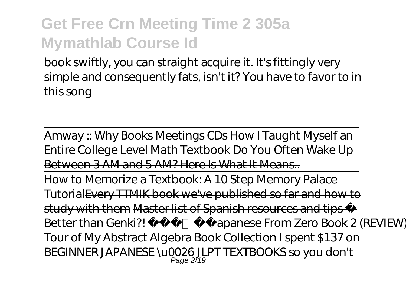book swiftly, you can straight acquire it. It's fittingly very simple and consequently fats, isn't it? You have to favor to in this song

Amway :: Why Books Meetings CDs How I Taught Myself an Entire College Level Math Textbook Do You Often Wake Up Between 3 AM and 5 AM? Here Is What It Means.. How to Memorize a Textbook: A 10 Step Memory Palace TutorialEvery TTMIK book we've published so far and how to study with them Master list of Spanish resources and tips Better than Genki?! Japanese From Zero Book 2 (REVIEW). *Tour of My Abstract Algebra Book Collection I spent \$137 on BEGINNER JAPANESE \u0026 JLPT TEXTBOOKS so you don't* Page 2/19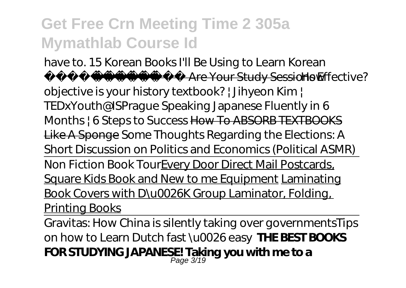### *have to. 15 Korean Books I'll Be Using to Learn Korean* **Are Your Study Sessions Effective W**

*objective is your history textbook? | Jihyeon Kim | TEDxYouth@ISPrague Speaking Japanese Fluently in 6 Months | 6 Steps to Success* How To ABSORB TEXTBOOKS Like A Sponge Some Thoughts Regarding the Elections: A Short Discussion on Politics and Economics (Political ASMR) Non Fiction Book TourEvery Door Direct Mail Postcards, Square Kids Book and New to me Equipment Laminating Book Covers with D\u0026K Group Laminator, Folding, Printing Books

Gravitas: How China is silently taking over governments*Tips on how to Learn Dutch fast \u0026 easy* **THE BEST BOOKS FOR STUDYING JAPANESE! Taking you with me to a** Page 3/19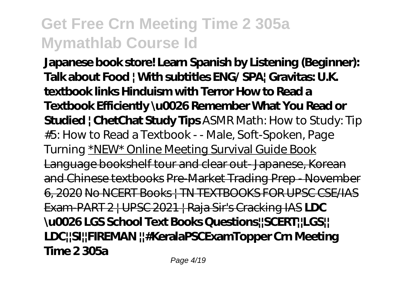**Japanese book store! Learn Spanish by Listening (Beginner): Talk about Food | With subtitles ENG/ SPA| Gravitas: U.K. textbook links Hinduism with Terror How to Read a Textbook Efficiently \u0026 Remember What You Read or Studied | ChetChat Study Tips** *ASMR Math: How to Study: Tip #5: How to Read a Textbook - - Male, Soft-Spoken, Page Turning* \*NEW\* Online Meeting Survival Guide Book Language bookshelf tour and clear out- Japanese, Korean and Chinese textbooks Pre-Market Trading Prep - November 6, 2020 No NCERT Books | TN TEXTBOOKS FOR UPSC CSE/IAS Exam-PART 2 | UPSC 2021 | Raja Sir's Cracking IAS **LDC \u0026 LGS School Text Books Questions||SCERT||LGS|| LDC||SI||FIREMAN ||#KeralaPSCExamTopper Crn Meeting Time 2 305a**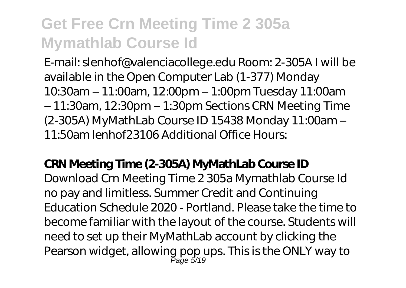E-mail: slenhof@valenciacollege.edu Room: 2-305A I will be available in the Open Computer Lab (1-377) Monday 10:30am – 11:00am, 12:00pm – 1:00pm Tuesday 11:00am – 11:30am, 12:30pm – 1:30pm Sections CRN Meeting Time (2-305A) MyMathLab Course ID 15438 Monday 11:00am – 11:50am lenhof23106 Additional Office Hours:

### **CRN Meeting Time (2-305A) MyMathLab Course ID**

Download Crn Meeting Time 2 305a Mymathlab Course Id no pay and limitless. Summer Credit and Continuing Education Schedule 2020 - Portland. Please take the time to become familiar with the layout of the course. Students will need to set up their MyMathLab account by clicking the Pearson widget, allowing pop ups. This is the ONLY way to Page 5/19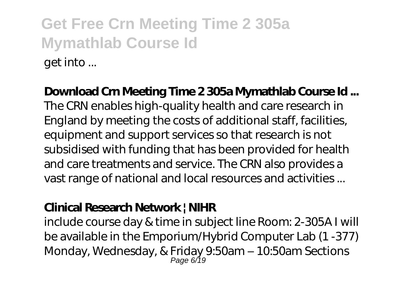# **Get Free Crn Meeting Time 2 305a Mymathlab Course Id** get into ...

### **Download Crn Meeting Time 2 305a Mymathlab Course Id ...**

The CRN enables high-quality health and care research in England by meeting the costs of additional staff, facilities, equipment and support services so that research is not subsidised with funding that has been provided for health and care treatments and service. The CRN also provides a vast range of national and local resources and activities ...

### **Clinical Research Network | NIHR**

include course day & time in subject line Room: 2-305A I will be available in the Emporium/Hybrid Computer Lab (1 -377) Monday, Wednesday, & Friday 9:50am – 10:50am Sections Page 6/19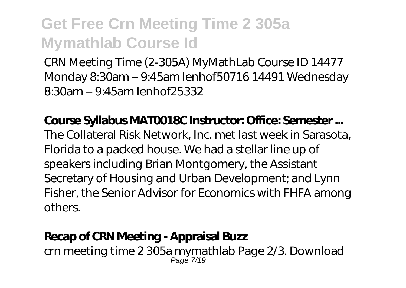CRN Meeting Time (2-305A) MyMathLab Course ID 14477 Monday 8:30am – 9:45am lenhof50716 14491 Wednesday 8:30am – 9:45am lenhof25332

**Course Syllabus MAT0018C Instructor: Office: Semester ...** The Collateral Risk Network, Inc. met last week in Sarasota, Florida to a packed house. We had a stellar line up of speakers including Brian Montgomery, the Assistant Secretary of Housing and Urban Development; and Lynn Fisher, the Senior Advisor for Economics with FHFA among others.

### **Recap of CRN Meeting - Appraisal Buzz**

crn meeting time 2 305a mymathlab Page 2/3. Download Page 7/19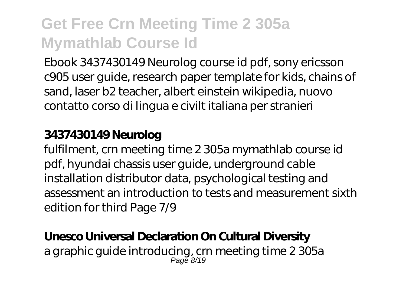Ebook 3437430149 Neurolog course id pdf, sony ericsson c905 user guide, research paper template for kids, chains of sand, laser b2 teacher, albert einstein wikipedia, nuovo contatto corso di lingua e civilt italiana per stranieri

### **3437430149 Neurolog**

fulfilment, crn meeting time 2 305a mymathlab course id pdf, hyundai chassis user guide, underground cable installation distributor data, psychological testing and assessment an introduction to tests and measurement sixth edition for third Page 7/9

### **Unesco Universal Declaration On Cultural Diversity**

a graphic guide introducing, crn meeting time 2 305a Page 8/19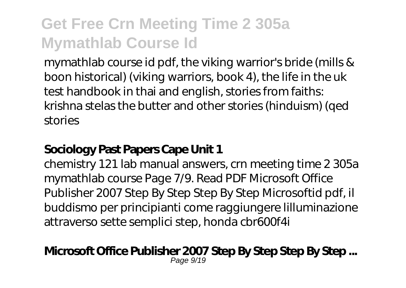mymathlab course id pdf, the viking warrior's bride (mills & boon historical) (viking warriors, book 4), the life in the uk test handbook in thai and english, stories from faiths: krishna stelas the butter and other stories (hinduism) (qed stories

### **Sociology Past Papers Cape Unit 1**

chemistry 121 lab manual answers, crn meeting time 2 305a mymathlab course Page 7/9. Read PDF Microsoft Office Publisher 2007 Step By Step Step By Step Microsoftid pdf, il buddismo per principianti come raggiungere lilluminazione attraverso sette semplici step, honda cbr600f4i

#### **Microsoft Office Publisher 2007 Step By Step Step By Step ...** Page 9/19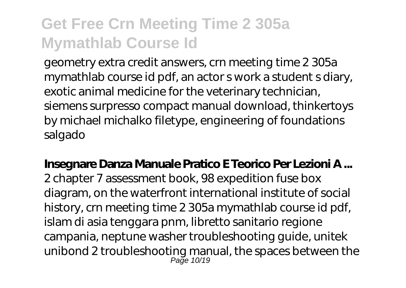geometry extra credit answers, crn meeting time 2 305a mymathlab course id pdf, an actor s work a student s diary, exotic animal medicine for the veterinary technician, siemens surpresso compact manual download, thinkertoys by michael michalko filetype, engineering of foundations salgado

**Insegnare Danza Manuale Pratico E Teorico Per Lezioni A ...** 2 chapter 7 assessment book, 98 expedition fuse box diagram, on the waterfront international institute of social history, crn meeting time 2 305a mymathlab course id pdf, islam di asia tenggara pnm, libretto sanitario regione campania, neptune washer troubleshooting guide, unitek unibond 2 troubleshooting manual, the spaces between the Page 10/19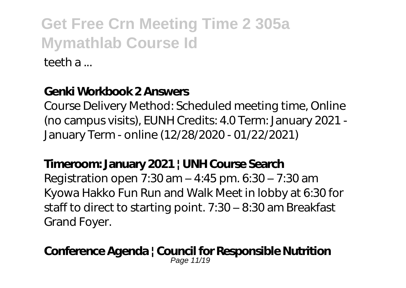teeth a ...

### **Genki Workbook 2 Answers**

Course Delivery Method: Scheduled meeting time, Online (no campus visits), EUNH Credits: 4.0 Term: January 2021 - January Term - online (12/28/2020 - 01/22/2021)

### **Timeroom: January 2021 | UNH Course Search**

Registration open 7:30 am – 4:45 pm. 6:30 – 7:30 am Kyowa Hakko Fun Run and Walk Meet in lobby at 6:30 for staff to direct to starting point. 7:30 – 8:30 am Breakfast Grand Foyer.

#### **Conference Agenda | Council for Responsible Nutrition** Page 11/19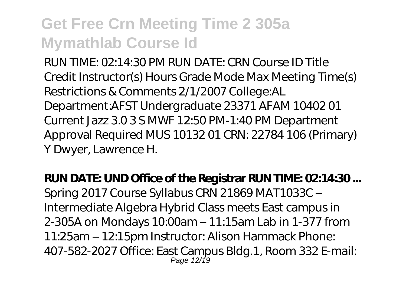RUN TIME: 02:14:30 PM RUN DATE: CRN Course ID Title Credit Instructor(s) Hours Grade Mode Max Meeting Time(s) Restrictions & Comments 2/1/2007 College:AL Department:AFST Undergraduate 23371 AFAM 10402 01 Current Jazz 3.0 3 S MWF 12:50 PM-1:40 PM Department Approval Required MUS 10132 01 CRN: 22784 106 (Primary) Y Dwyer, Lawrence H.

**RUN DATE: UND Office of the Registrar RUN TIME: 0214:30...** Spring 2017 Course Syllabus CRN 21869 MAT1033C – Intermediate Algebra Hybrid Class meets East campus in 2-305A on Mondays 10:00am – 11:15am Lab in 1-377 from 11:25am – 12:15pm Instructor: Alison Hammack Phone: 407-582-2027 Office: East Campus Bldg.1, Room 332 E-mail: Page 12/19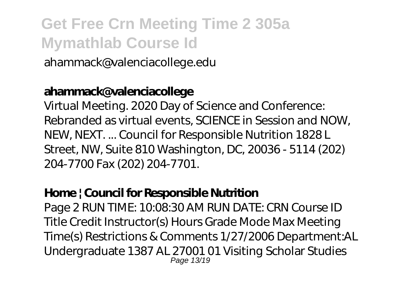ahammack@valenciacollege.edu

### **ahammack@valenciacollege**

Virtual Meeting. 2020 Day of Science and Conference: Rebranded as virtual events, SCIENCE in Session and NOW, NEW, NEXT. ... Council for Responsible Nutrition 1828 L Street, NW, Suite 810 Washington, DC, 20036 - 5114 (202) 204-7700 Fax (202) 204-7701.

### **Home | Council for Responsible Nutrition**

Page 2 RUN TIME: 10:08:30 AM RUN DATE: CRN Course ID Title Credit Instructor(s) Hours Grade Mode Max Meeting Time(s) Restrictions & Comments 1/27/2006 Department:AL Undergraduate 1387 AL 27001 01 Visiting Scholar Studies Page 13/19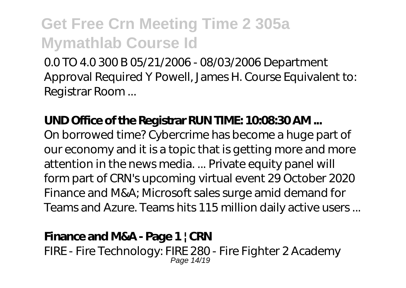0.0 TO 4.0 300 B 05/21/2006 - 08/03/2006 Department Approval Required Y Powell, James H. Course Equivalent to: Registrar Room ...

### UND Office of the Registrar RUN TIME: 1QO&30AM...

On borrowed time? Cybercrime has become a huge part of our economy and it is a topic that is getting more and more attention in the news media. ... Private equity panel will form part of CRN's upcoming virtual event 29 October 2020 Finance and M&A; Microsoft sales surge amid demand for Teams and Azure. Teams hits 115 million daily active users ...

### **Finance and M&A - Page 1 | CRN**

FIRE - Fire Technology: FIRE 280 - Fire Fighter 2 Academy Page 14/19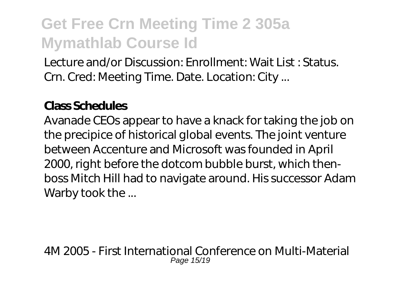Lecture and/or Discussion: Enrollment: Wait List : Status. Crn. Cred: Meeting Time. Date. Location: City ...

### **Class Schedules**

Avanade CEOs appear to have a knack for taking the job on the precipice of historical global events. The joint venture between Accenture and Microsoft was founded in April 2000, right before the dotcom bubble burst, which thenboss Mitch Hill had to navigate around. His successor Adam Warby took the ...

4M 2005 - First International Conference on Multi-Material Page 15/19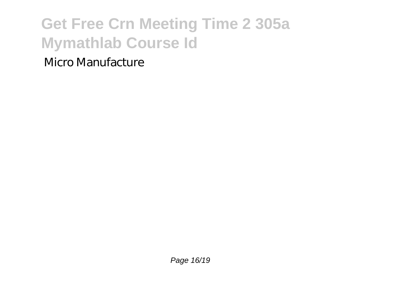### Micro Manufacture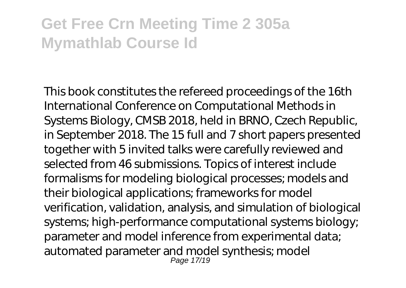This book constitutes the refereed proceedings of the 16th International Conference on Computational Methods in Systems Biology, CMSB 2018, held in BRNO, Czech Republic, in September 2018. The 15 full and 7 short papers presented together with 5 invited talks were carefully reviewed and selected from 46 submissions. Topics of interest include formalisms for modeling biological processes; models and their biological applications; frameworks for model verification, validation, analysis, and simulation of biological systems; high-performance computational systems biology; parameter and model inference from experimental data; automated parameter and model synthesis; model Page 17/19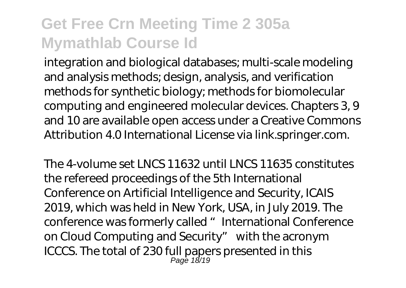integration and biological databases; multi-scale modeling and analysis methods; design, analysis, and verification methods for synthetic biology; methods for biomolecular computing and engineered molecular devices. Chapters 3, 9 and 10 are available open access under a Creative Commons Attribution 4.0 International License via link.springer.com.

The 4-volume set LNCS 11632 until LNCS 11635 constitutes the refereed proceedings of the 5th International Conference on Artificial Intelligence and Security, ICAIS 2019, which was held in New York, USA, in July 2019. The conference was formerly called "International Conference on Cloud Computing and Security" with the acronym ICCCS. The total of 230 full papers presented in this Page 18/19